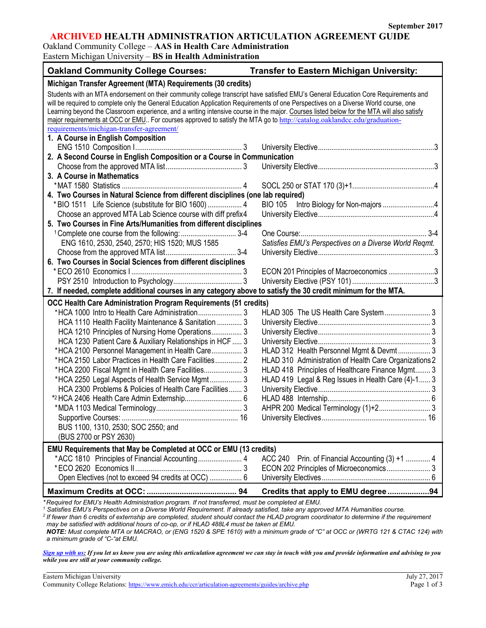٦

## **ARCHIVED HEALTH ADMINISTRATION ARTICULATION AGREEMENT GUIDE**

Oakland Community College – **AAS in Health Care Administration**

Eastern Michigan University – **BS in Health Administration**

| <b>Oakland Community College Courses:</b>                                                                                                                                                                                                                                                                                                                                                                                                                                                                                                          | <b>Transfer to Eastern Michigan University:</b>           |  |  |  |
|----------------------------------------------------------------------------------------------------------------------------------------------------------------------------------------------------------------------------------------------------------------------------------------------------------------------------------------------------------------------------------------------------------------------------------------------------------------------------------------------------------------------------------------------------|-----------------------------------------------------------|--|--|--|
| Michigan Transfer Agreement (MTA) Requirements (30 credits)                                                                                                                                                                                                                                                                                                                                                                                                                                                                                        |                                                           |  |  |  |
| Students with an MTA endorsement on their community college transcript have satisfied EMU's General Education Core Requirements and<br>will be required to complete only the General Education Application Requirements of one Perspectives on a Diverse World course, one<br>Learning beyond the Classroom experience, and a writing intensive course in the major. Courses listed below for the MTA will also satisfy<br>major requirements at OCC or EMU For courses approved to satisfy the MTA go to http://catalog.oaklandcc.edu/graduation- |                                                           |  |  |  |
| requirements/michigan-transfer-agreement/                                                                                                                                                                                                                                                                                                                                                                                                                                                                                                          |                                                           |  |  |  |
| 1. A Course in English Composition                                                                                                                                                                                                                                                                                                                                                                                                                                                                                                                 |                                                           |  |  |  |
|                                                                                                                                                                                                                                                                                                                                                                                                                                                                                                                                                    |                                                           |  |  |  |
| 2. A Second Course in English Composition or a Course in Communication                                                                                                                                                                                                                                                                                                                                                                                                                                                                             |                                                           |  |  |  |
|                                                                                                                                                                                                                                                                                                                                                                                                                                                                                                                                                    |                                                           |  |  |  |
| 3. A Course in Mathematics                                                                                                                                                                                                                                                                                                                                                                                                                                                                                                                         |                                                           |  |  |  |
|                                                                                                                                                                                                                                                                                                                                                                                                                                                                                                                                                    |                                                           |  |  |  |
| 4. Two Courses in Natural Science from different disciplines (one lab required)                                                                                                                                                                                                                                                                                                                                                                                                                                                                    |                                                           |  |  |  |
| * BIO 1511 Life Science (substitute for BIO 1600)  4<br>Choose an approved MTA Lab Science course with diff prefix4                                                                                                                                                                                                                                                                                                                                                                                                                                | Intro Biology for Non-majors 4<br><b>BIO 105</b>          |  |  |  |
| 5. Two Courses in Fine Arts/Humanities from different disciplines                                                                                                                                                                                                                                                                                                                                                                                                                                                                                  |                                                           |  |  |  |
|                                                                                                                                                                                                                                                                                                                                                                                                                                                                                                                                                    |                                                           |  |  |  |
| ENG 1610, 2530, 2540, 2570; HIS 1520; MUS 1585                                                                                                                                                                                                                                                                                                                                                                                                                                                                                                     | Satisfies EMU's Perspectives on a Diverse World Regmt.    |  |  |  |
|                                                                                                                                                                                                                                                                                                                                                                                                                                                                                                                                                    |                                                           |  |  |  |
| 6. Two Courses in Social Sciences from different disciplines                                                                                                                                                                                                                                                                                                                                                                                                                                                                                       |                                                           |  |  |  |
|                                                                                                                                                                                                                                                                                                                                                                                                                                                                                                                                                    | ECON 201 Principles of Macroeconomics 3                   |  |  |  |
|                                                                                                                                                                                                                                                                                                                                                                                                                                                                                                                                                    |                                                           |  |  |  |
| 7. If needed, complete additional courses in any category above to satisfy the 30 credit minimum for the MTA.                                                                                                                                                                                                                                                                                                                                                                                                                                      |                                                           |  |  |  |
| <b>OCC Health Care Administration Program Requirements (51 credits)</b>                                                                                                                                                                                                                                                                                                                                                                                                                                                                            |                                                           |  |  |  |
|                                                                                                                                                                                                                                                                                                                                                                                                                                                                                                                                                    |                                                           |  |  |  |
| HCA 1110 Health Facility Maintenance & Sanitation  3                                                                                                                                                                                                                                                                                                                                                                                                                                                                                               |                                                           |  |  |  |
| HCA 1210 Principles of Nursing Home Operations 3                                                                                                                                                                                                                                                                                                                                                                                                                                                                                                   |                                                           |  |  |  |
| HCA 1230 Patient Care & Auxiliary Relationships in HCF  3                                                                                                                                                                                                                                                                                                                                                                                                                                                                                          |                                                           |  |  |  |
| *HCA 2100 Personnel Management in Health Care 3                                                                                                                                                                                                                                                                                                                                                                                                                                                                                                    | HLAD 312 Health Personnel Mgmt & Devmt 3                  |  |  |  |
| *HCA 2150 Labor Practices in Health Care Facilities 2                                                                                                                                                                                                                                                                                                                                                                                                                                                                                              | HLAD 310 Administration of Health Care Organizations 2    |  |  |  |
| *HCA 2200 Fiscal Mgmt in Health Care Facilities 3                                                                                                                                                                                                                                                                                                                                                                                                                                                                                                  | HLAD 418 Principles of Healthcare Finance Mgmt 3          |  |  |  |
| *HCA 2250 Legal Aspects of Health Service Mgmt 3                                                                                                                                                                                                                                                                                                                                                                                                                                                                                                   | HLAD 419 Legal & Reg Issues in Health Care (4)-1 3        |  |  |  |
| HCA 2300 Problems & Policies of Health Care Facilities 3                                                                                                                                                                                                                                                                                                                                                                                                                                                                                           |                                                           |  |  |  |
|                                                                                                                                                                                                                                                                                                                                                                                                                                                                                                                                                    |                                                           |  |  |  |
|                                                                                                                                                                                                                                                                                                                                                                                                                                                                                                                                                    | AHPR 200 Medical Terminology (1)+2 3                      |  |  |  |
|                                                                                                                                                                                                                                                                                                                                                                                                                                                                                                                                                    |                                                           |  |  |  |
| BUS 1100, 1310, 2530; SOC 2550; and                                                                                                                                                                                                                                                                                                                                                                                                                                                                                                                |                                                           |  |  |  |
| (BUS 2700 or PSY 2630)                                                                                                                                                                                                                                                                                                                                                                                                                                                                                                                             |                                                           |  |  |  |
| EMU Requirements that May be Completed at OCC or EMU (13 credits)                                                                                                                                                                                                                                                                                                                                                                                                                                                                                  |                                                           |  |  |  |
|                                                                                                                                                                                                                                                                                                                                                                                                                                                                                                                                                    | <b>ACC 240</b><br>Prin. of Financial Accounting (3) +1  4 |  |  |  |
|                                                                                                                                                                                                                                                                                                                                                                                                                                                                                                                                                    |                                                           |  |  |  |
| Open Electives (not to exceed 94 credits at OCC)  6                                                                                                                                                                                                                                                                                                                                                                                                                                                                                                |                                                           |  |  |  |
|                                                                                                                                                                                                                                                                                                                                                                                                                                                                                                                                                    | Credits that apply to EMU degree 94                       |  |  |  |
| *Required for EMU's Health Administration program. If not transferred, must be completed at EMU.                                                                                                                                                                                                                                                                                                                                                                                                                                                   |                                                           |  |  |  |

*<sup>1</sup> Satisfies EMU's Perspectives on a Diverse World Requirement. If already satisfied, take any approved MTA Humanities course.*

*<sup>2</sup> If fewer than 6 credits of externship are completed, student should contact the HLAD program coordinator to determine if the requirement may be satisfied with additional hours of co-op, or if HLAD 488L4 must be taken at EMU.*

*NOTE: Must complete MTA or MACRAO, or (ENG 1520 & SPE 1610) with a minimum grade of "C" at OCC or (WRTG 121 & CTAC 124) with a minimum grade of "C-"at EMU.*

*[Sign up with us:](https://www.emich.edu/ccr/articulation-agreements/signup.php) If you let us know you are using this articulation agreement we can stay in touch with you and provide information and advising to you while you are still at your community college.*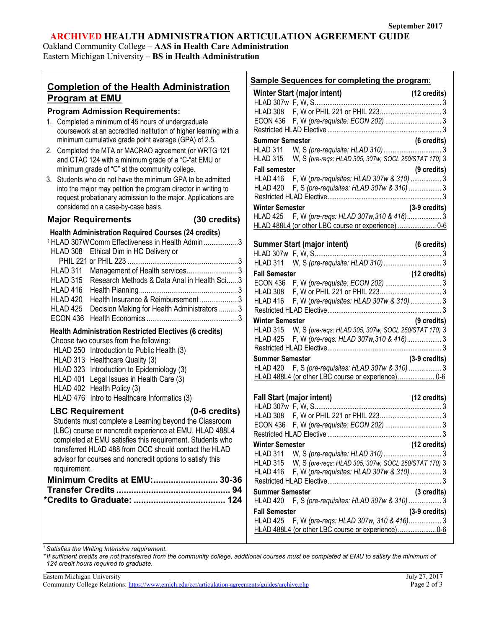# **ARCHIVED HEALTH ADMINISTRATION ARTICULATION AGREEMENT GUIDE**

Τ

Oakland Community College – **AAS in Health Care Administration** Eastern Michigan University – **BS in Health Administration**

 $\overline{1}$ 

|                                                                                                    | <b>Sample Sequences for completing the program:</b>                                                                  |                       |
|----------------------------------------------------------------------------------------------------|----------------------------------------------------------------------------------------------------------------------|-----------------------|
| <b>Completion of the Health Administration</b>                                                     | Winter Start (major intent)                                                                                          | (12 credits)          |
| <b>Program at EMU</b>                                                                              |                                                                                                                      |                       |
| <b>Program Admission Requirements:</b>                                                             |                                                                                                                      |                       |
| 1. Completed a minimum of 45 hours of undergraduate                                                |                                                                                                                      |                       |
| coursework at an accredited institution of higher learning with a                                  |                                                                                                                      |                       |
| minimum cumulative grade point average (GPA) of 2.5.                                               | <b>Summer Semester</b>                                                                                               | $(6 \text{ credits})$ |
| 2. Completed the MTA or MACRAO agreement (or WRTG 121                                              | HLAD 311                                                                                                             |                       |
| and CTAC 124 with a minimum grade of a "C-"at EMU or                                               | HLAD 315 W, S (pre-reqs: HLAD 305, 307w, SOCL 250/STAT 170) 3                                                        |                       |
| minimum grade of "C" at the community college.                                                     | <b>Fall semester</b>                                                                                                 | (9 credits)           |
| 3. Students who do not have the minimum GPA to be admitted                                         | HLAD 416 F, W (pre-requisites: HLAD 307w & 310)  3                                                                   |                       |
| into the major may petition the program director in writing to                                     | HLAD 420 F, S (pre-requisites: HLAD 307w & 310)  3                                                                   |                       |
| request probationary admission to the major. Applications are                                      |                                                                                                                      |                       |
| considered on a case-by-case basis.                                                                | <b>Winter Semester</b>                                                                                               | $(3-9)$ credits)      |
| Major Requirements (30 credits)                                                                    | HLAD 425 F, W (pre-regs: HLAD 307w, 310 & 416) 3                                                                     |                       |
|                                                                                                    | HLAD 488L4 (or other LBC course or experience)  0-6                                                                  |                       |
| <b>Health Administration Required Courses (24 credits)</b>                                         |                                                                                                                      |                       |
| <sup>1</sup> HLAD 307W Comm Effectiveness in Health Admin 3                                        | Summer Start (major intent) (6 credits)                                                                              |                       |
| HLAD 308 Ethical Dim in HC Delivery or                                                             |                                                                                                                      |                       |
|                                                                                                    | HLAD 311                                                                                                             |                       |
| HLAD 311 Management of Health services3<br>HLAD 315<br>Research Methods & Data Anal in Health Sci3 | <b>Fall Semester</b>                                                                                                 | (12 credits)          |
| HLAD 416                                                                                           |                                                                                                                      |                       |
| HLAD 420<br>Health Insurance & Reimbursement 3                                                     |                                                                                                                      |                       |
| HLAD 425                                                                                           | HLAD 416 F, W (pre-requisites: HLAD 307w & 310)  3                                                                   |                       |
| Decision Making for Health Administrators 3                                                        |                                                                                                                      |                       |
|                                                                                                    | <b>Winter Semester</b>                                                                                               | (9 credits)           |
| <b>Health Administration Restricted Electives (6 credits)</b>                                      | HLAD 315<br>W, S (pre-reqs: HLAD 305, 307w, SOCL 250/STAT 170) 3<br>HLAD 425 F, W (pre-reqs: HLAD 307w, 310 & 416) 3 |                       |
| Choose two courses from the following:                                                             |                                                                                                                      |                       |
| HLAD 250 Introduction to Public Health (3)                                                         | <b>Summer Semester</b>                                                                                               | $(3-9)$ credits)      |
| HLAD 313 Healthcare Quality (3)                                                                    | HLAD 420 F, S (pre-requisites: HLAD 307w & 310)  3                                                                   |                       |
| HLAD 323 Introduction to Epidemiology (3)                                                          | HLAD 488L4 (or other LBC course or experience) 0-6                                                                   |                       |
| HLAD 401 Legal Issues in Health Care (3)                                                           |                                                                                                                      |                       |
| HLAD 402 Health Policy (3)                                                                         | Fall Start (major intent) (12 credits)                                                                               |                       |
| HLAD 476 Intro to Healthcare Informatics (3)                                                       |                                                                                                                      |                       |
| LBC Requirement (0-6 credits)                                                                      |                                                                                                                      |                       |
| Students must complete a Learning beyond the Classroom                                             |                                                                                                                      |                       |
| (LBC) course or noncredit experience at EMU. HLAD 488L4                                            |                                                                                                                      |                       |
| completed at EMU satisfies this requirement. Students who                                          | <b>Winter Semester</b>                                                                                               | (12 credits)          |
| transferred HLAD 488 from OCC should contact the HLAD                                              | HLAD 311                                                                                                             |                       |
| advisor for courses and noncredit options to satisfy this                                          | W, S (pre-regs: HLAD 305, 307w, SOCL 250/STAT 170) 3<br><b>HLAD 315</b>                                              |                       |
| requirement.                                                                                       | F, W (pre-requisites: HLAD 307w & 310)  3<br>HLAD 416                                                                |                       |
| Minimum Credits at EMU: 30-36                                                                      |                                                                                                                      |                       |
|                                                                                                    | <b>Summer Semester</b>                                                                                               | (3 credits)           |
|                                                                                                    | F, S (pre-requisites: HLAD 307w & 310)  3<br>HLAD 420                                                                |                       |
|                                                                                                    | <b>Fall Semester</b>                                                                                                 | $(3-9)$ credits)      |
|                                                                                                    | F, W (pre-regs: HLAD 307w, 310 & 416)3<br><b>HLAD 425</b>                                                            |                       |
|                                                                                                    |                                                                                                                      |                       |
|                                                                                                    |                                                                                                                      |                       |

*<sup>1</sup> Satisfies the Writing Intensive requirement.*

*\*If sufficient credits are not transferred from the community college, additional courses must be completed at EMU to satisfy the minimum of 124 credit hours required to graduate.*

| Eastern Michigan University                                                                       | July 27, 2017 |
|---------------------------------------------------------------------------------------------------|---------------|
| Community College Relations: https://www.emich.edu/ccr/articulation-agreements/guides/archive.php | Page 2 of 3   |